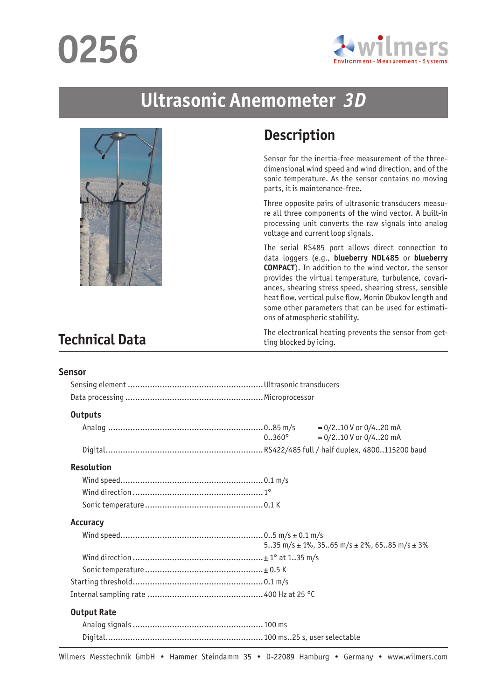# **0256**



## **Ultrasonic Anemometer** *3D*



## **Description**

Sensor for the inertia-free measurement of the threedimensional wind speed and wind direction, and of the sonic temperature. As the sensor contains no moving parts, it is maintenance-free.

Three opposite pairs of ultrasonic transducers measure all three components of the wind vector. A built-in processing unit converts the raw signals into analog voltage and current loop signals.

The serial RS485 port allows direct connection to data loggers (e.g., **blueberry NDL485** or **blueberry COMPACT**). In addition to the wind vector, the sensor provides the virtual temperature, turbulence, covariances, shearing stress speed, shearing stress, sensible heat flow, vertical pulse flow, Monin Obukov length and some other parameters that can be used for estimations of atmospheric stability.

The electronical heating prevents the sensor from getting blocked by icing.

**Technical Data**

| <b>Sensor</b>      |                                            |                          |  |
|--------------------|--------------------------------------------|--------------------------|--|
|                    |                                            |                          |  |
|                    |                                            |                          |  |
| <b>Outputs</b>     |                                            |                          |  |
|                    | $0.360^{\circ}$                            | $= 0/2$ 10 V or 0/420 mA |  |
|                    |                                            |                          |  |
| <b>Resolution</b>  |                                            |                          |  |
|                    |                                            |                          |  |
|                    |                                            |                          |  |
|                    |                                            |                          |  |
| <b>Accuracy</b>    |                                            |                          |  |
|                    |                                            |                          |  |
|                    | 535 m/s ± 1%, 3565 m/s ± 2%, 6585 m/s ± 3% |                          |  |
|                    |                                            |                          |  |
|                    |                                            |                          |  |
|                    |                                            |                          |  |
|                    |                                            |                          |  |
| <b>Output Rate</b> |                                            |                          |  |
|                    |                                            |                          |  |
|                    |                                            |                          |  |